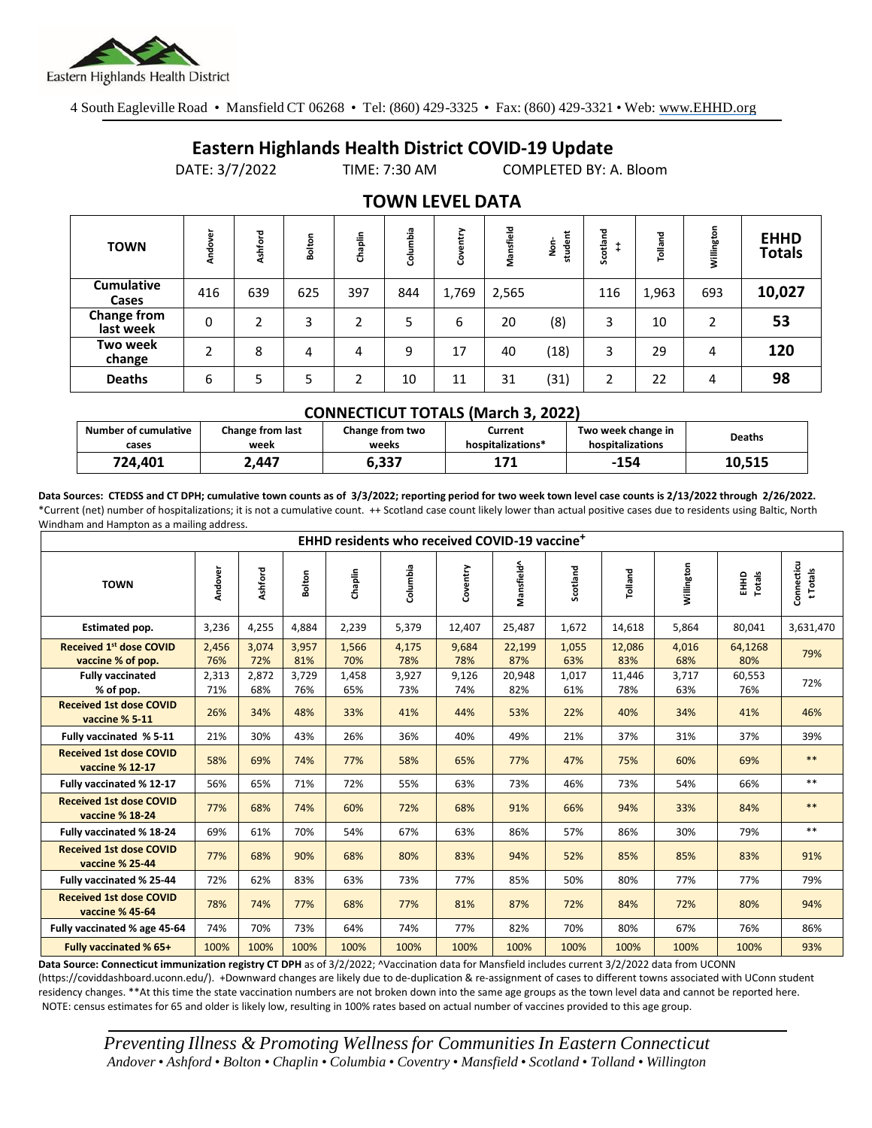

4 South Eagleville Road • Mansfield CT 06268 • Tel: (860) 429-3325 • Fax: (860) 429-3321 • Web: www.EHHD.org

## **Eastern Highlands Health District COVID-19 Update**

DATE: 3/7/2022 TIME: 7:30 AM COMPLETED BY: A. Bloom

| <b>TOWN</b>                | Andover | shford | Bolton | Chaplin | mbia<br>릉 | ><br>븓<br>පි | Mansfield | だ<br>ġ<br>stude | Scotland | Tolland | Willington | <b>EHHD</b><br><b>Totals</b> |
|----------------------------|---------|--------|--------|---------|-----------|--------------|-----------|-----------------|----------|---------|------------|------------------------------|
| <b>Cumulative</b><br>Cases | 416     | 639    | 625    | 397     | 844       | 1,769        | 2,565     |                 | 116      | 1,963   | 693        | 10,027                       |
| Change from<br>last week   | 0       | ำ      | 3      | 2       | 5         | 6            | 20        | (8)             | 3        | 10      | 2          | 53                           |
| Two week<br>change         | 2       | 8      | 4      | 4       | 9         | 17           | 40        | (18)            | 3        | 29      | 4          | 120                          |
| <b>Deaths</b>              | 6       | 5      | 5      | ┑       | 10        | 11           | 31        | (31)            | 2        | 22      | 4          | 98                           |

## **TOWN LEVEL DATA**

| <b>CONNECTICUT TOTALS (March 3, 2022)</b> |                          |                          |                              |                                        |               |  |  |  |  |
|-------------------------------------------|--------------------------|--------------------------|------------------------------|----------------------------------------|---------------|--|--|--|--|
| Number of cumulative<br>cases             | Change from last<br>week | Change from two<br>weeks | Current<br>hospitalizations* | Two week change in<br>hospitalizations | <b>Deaths</b> |  |  |  |  |
| 724.401                                   | 2.447                    | 6.337                    | 171                          | $-154$                                 | 10,515        |  |  |  |  |

**Data Sources: CTEDSS and CT DPH; cumulative town counts as of 3/3/2022; reporting period for two week town level case counts is 2/13/2022 through 2/26/2022.** \*Current (net) number of hospitalizations; it is not a cumulative count. ++ Scotland case count likely lower than actual positive cases due to residents using Baltic, North Windham and Hampton as a mailing address.

| EHHD residents who received COVID-19 vaccine <sup>+</sup> |              |              |              |              |              |              |               |              |               |              |                  |                        |
|-----------------------------------------------------------|--------------|--------------|--------------|--------------|--------------|--------------|---------------|--------------|---------------|--------------|------------------|------------------------|
| <b>TOWN</b>                                               | Andover      | Ashford      | Bolton       | Chaplin      | Columbia     | Coventry     | Mansfield^    | Scotland     | Tolland       | Willington   | Totals<br>읖<br>토 | Connecticu<br>t Totals |
| Estimated pop.                                            | 3,236        | 4,255        | 4,884        | 2,239        | 5,379        | 12,407       | 25,487        | 1,672        | 14,618        | 5,864        | 80,041           | 3,631,470              |
| <b>Received 1st dose COVID</b><br>vaccine % of pop.       | 2,456<br>76% | 3,074<br>72% | 3,957<br>81% | 1,566<br>70% | 4,175<br>78% | 9,684<br>78% | 22,199<br>87% | 1,055<br>63% | 12,086<br>83% | 4,016<br>68% | 64,1268<br>80%   | 79%                    |
| <b>Fully vaccinated</b><br>% of pop.                      | 2,313<br>71% | 2,872<br>68% | 3,729<br>76% | 1,458<br>65% | 3,927<br>73% | 9,126<br>74% | 20,948<br>82% | 1,017<br>61% | 11,446<br>78% | 3,717<br>63% | 60,553<br>76%    | 72%                    |
| <b>Received 1st dose COVID</b><br>vaccine % 5-11          | 26%          | 34%          | 48%          | 33%          | 41%          | 44%          | 53%           | 22%          | 40%           | 34%          | 41%              | 46%                    |
| Fully vaccinated % 5-11                                   | 21%          | 30%          | 43%          | 26%          | 36%          | 40%          | 49%           | 21%          | 37%           | 31%          | 37%              | 39%                    |
| <b>Received 1st dose COVID</b><br>vaccine % 12-17         | 58%          | 69%          | 74%          | 77%          | 58%          | 65%          | 77%           | 47%          | 75%           | 60%          | 69%              | $**$                   |
| Fully vaccinated % 12-17                                  | 56%          | 65%          | 71%          | 72%          | 55%          | 63%          | 73%           | 46%          | 73%           | 54%          | 66%              | $**$                   |
| <b>Received 1st dose COVID</b><br>vaccine % 18-24         | 77%          | 68%          | 74%          | 60%          | 72%          | 68%          | 91%           | 66%          | 94%           | 33%          | 84%              | $**$                   |
| Fully vaccinated % 18-24                                  | 69%          | 61%          | 70%          | 54%          | 67%          | 63%          | 86%           | 57%          | 86%           | 30%          | 79%              | $**$                   |
| <b>Received 1st dose COVID</b><br>vaccine % 25-44         | 77%          | 68%          | 90%          | 68%          | 80%          | 83%          | 94%           | 52%          | 85%           | 85%          | 83%              | 91%                    |
| Fully vaccinated % 25-44                                  | 72%          | 62%          | 83%          | 63%          | 73%          | 77%          | 85%           | 50%          | 80%           | 77%          | 77%              | 79%                    |
| <b>Received 1st dose COVID</b><br>vaccine % 45-64         | 78%          | 74%          | 77%          | 68%          | 77%          | 81%          | 87%           | 72%          | 84%           | 72%          | 80%              | 94%                    |
| Fully vaccinated % age 45-64                              | 74%          | 70%          | 73%          | 64%          | 74%          | 77%          | 82%           | 70%          | 80%           | 67%          | 76%              | 86%                    |
| <b>Fully vaccinated % 65+</b>                             | 100%         | 100%         | 100%         | 100%         | 100%         | 100%         | 100%          | 100%         | 100%          | 100%         | 100%             | 93%                    |

Data Source: Connecticut immunization registry CT DPH as of 3/2/2022; ^Vaccination data for Mansfield includes current 3/2/2022 data from UCONN (https://coviddashboard.uconn.edu/). +Downward changes are likely due to de-duplication & re-assignment of cases to different towns associated with UConn student residency changes. \*\*At this time the state vaccination numbers are not broken down into the same age groups as the town level data and cannot be reported here. NOTE: census estimates for 65 and older is likely low, resulting in 100% rates based on actual number of vaccines provided to this age group.

*Preventing Illness & Promoting Wellnessfor Communities In Eastern Connecticut* Andover • Ashford • Bolton • Chaplin • Columbia • Coventry • Mansfield • Scotland • Tolland • Willington